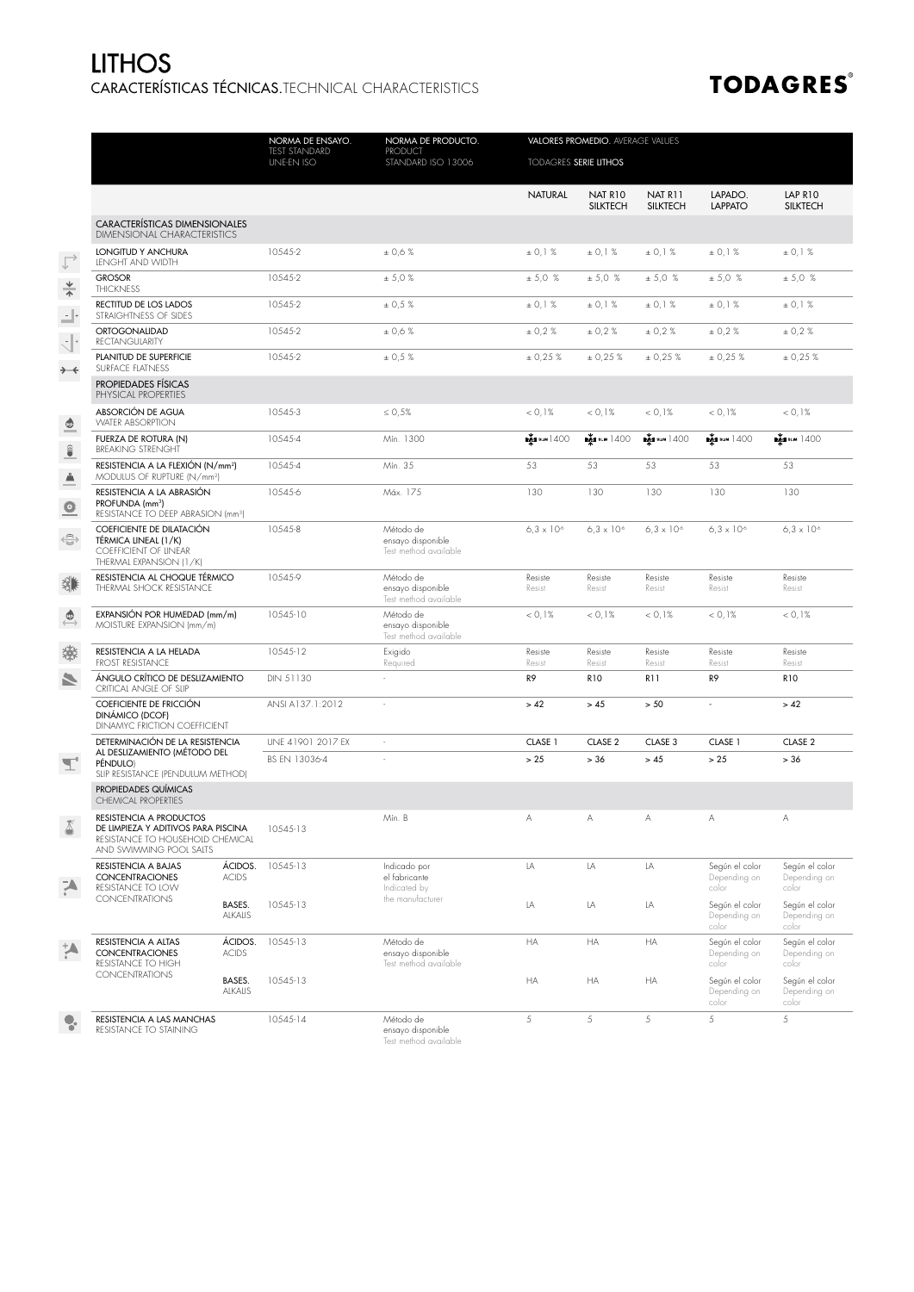## CARACTERÍSTICAS TÉCNICAS.TECHNICAL CHARACTERISTICS LITHOS

## **TODAGRES®**

|                                                 |                                                                                                                               |                          | NORMA DE ENSAYO.<br><b>TEST STANDARD</b><br><b>UNE-EN ISO</b> | NORMA DE PRODUCTO.<br><b>PRODUCT</b><br>STANDARD ISO 13006 | VALORES PROMEDIO. AVERAGE VALUES<br>TODAGRES SERIE LITHOS |                            |                            |                                         |                                         |
|-------------------------------------------------|-------------------------------------------------------------------------------------------------------------------------------|--------------------------|---------------------------------------------------------------|------------------------------------------------------------|-----------------------------------------------------------|----------------------------|----------------------------|-----------------------------------------|-----------------------------------------|
|                                                 |                                                                                                                               |                          |                                                               |                                                            |                                                           |                            |                            |                                         |                                         |
|                                                 |                                                                                                                               |                          |                                                               |                                                            | <b>NATURAL</b>                                            | NAT R10<br><b>SILKTECH</b> | NAT R11<br><b>SILKTECH</b> | LAPADO.<br><b>LAPPATO</b>               | LAP R10<br><b>SILKTECH</b>              |
|                                                 | CARACTERÍSTICAS DIMENSIONALES<br><b>DIMENSIONAL CHARACTERISTICS</b>                                                           |                          |                                                               |                                                            |                                                           |                            |                            |                                         |                                         |
| $\triangle$                                     | LONGITUD Y ANCHURA<br><b>LENGHT AND WIDTH</b>                                                                                 |                          | 10545-2                                                       | ± 0,6%                                                     | ± 0,1%                                                    | ± 0,1%                     | ± 0,1%                     | ± 0,1%                                  | ± 0,1%                                  |
| $\frac{4}{1}$                                   | <b>GROSOR</b><br><b>THICKNESS</b>                                                                                             |                          | 10545-2                                                       | ± 5,0%                                                     | ± 5,0 %                                                   | ± 5,0 %                    | ± 5,0 %                    | ± 5,0 %                                 | ± 5,0 %                                 |
| $\mathbf{L}$                                    | RECTITUD DE LOS LADOS<br>STRAIGHTNESS OF SIDES                                                                                |                          | 10545-2                                                       | ± 0,5%                                                     | ± 0,1%                                                    | ± 0.1%                     | ± 0,1%                     | ± 0,1%                                  | ± 0,1%                                  |
| $\mathbb{C}^*$                                  | <b>ORTOGONALIDAD</b><br><b>RECTANGULARITY</b>                                                                                 |                          | 10545-2                                                       | ± 0.6%                                                     | ± 0.2%                                                    | ± 0,2%                     | ± 0.2%                     | ± 0,2%                                  | ± 0,2%                                  |
| $\rightarrow -\leftarrow$                       | PLANITUD DE SUPERFICIE<br><b>SURFACE FLATNESS</b>                                                                             |                          | 10545-2                                                       | ± 0,5%                                                     | ± 0,25%                                                   | ± 0,25%                    | ± 0,25%                    | ± 0,25%                                 | ± 0,25%                                 |
|                                                 | PROPIEDADES FÍSICAS<br>PHYSICAL PROPERTIES                                                                                    |                          |                                                               |                                                            |                                                           |                            |                            |                                         |                                         |
| $\spadesuit$                                    | ABSORCIÓN DE AGUA<br><b>WATER ABSORPTION</b>                                                                                  |                          | 10545-3                                                       | $\leq 0.5\%$                                               | < 0.1%                                                    | < 0.1%                     | < 0.1%                     | < 0.1%                                  | < 0.1%                                  |
| $\begin{matrix} \widehat{\bullet} \end{matrix}$ | FUERZA DE ROTURA (N)<br><b>BREAKING STRENGHT</b>                                                                              |                          | 10545-4                                                       | Mín. 1300                                                  | <b>EXTERNAL SCUMP 1400</b>                                | <b>EXT</b> SLIM 1400       | <b>EXTERNAL 1400</b>       | <b>EXTERNAL 1400</b>                    | <b>EXTERNAL 1400</b>                    |
| $\triangleq$                                    | RESISTENCIA A LA FLEXIÓN (N/mm <sup>2</sup> )<br>MODULUS OF RUPTURE (N/mm <sup>2</sup> )                                      |                          | 10545-4                                                       | Mín. 35                                                    | 53                                                        | 53                         | 53                         | 53                                      | 53                                      |
| ≗                                               | RESISTENCIA A LA ABRASIÓN<br>PROFUNDA (mm <sup>3</sup> )<br>RESISTANCE TO DEEP ABRASION (mm <sup>3</sup> )                    |                          | 10545-6                                                       | Máx. 175                                                   | 130                                                       | 130                        | 130                        | 130                                     | 130                                     |
| $\oplus$                                        | COEFICIENTE DE DILATACIÓN<br>TÉRMICA LINEAL (1/K)<br>COEFFICIENT OF LINEAR<br>THERMAL EXPANSION (1/K)                         |                          | 10545-8                                                       | Método de<br>ensayo disponible<br>Test method available    | $6.3 \times 10^{6}$                                       | $6.3 \times 10^{6}$        | $6.3 \times 10^{6}$        | $6.3 \times 10^{6}$                     | $6.3 \times 10^{6}$                     |
| 貒                                               | RESISTENCIA AL CHOQUE TÉRMICO<br>THERMAL SHOCK RESISTANCE                                                                     |                          | 10545-9                                                       | Método de<br>ensayo disponible<br>Test method available    | Resiste<br>Resist                                         | Resiste<br>Resist          | Resiste<br>Resist          | Resiste<br>Resist                       | Resiste<br>Resist                       |
| $\overline{\mathbb{Q}}$                         | EXPANSIÓN POR HUMEDAD (mm/m)<br>MOISTURE EXPANSION (mm/m)                                                                     |                          | 10545-10                                                      | Método de<br>ensayo disponible<br>Test method available    | < 0.1%                                                    | < 0.1%                     | < 0.1%                     | < 0.1%                                  | < 0.1%                                  |
| 潫                                               | RESISTENCIA A LA HELADA<br><b>FROST RESISTANCE</b>                                                                            |                          | 10545-12                                                      | Exigido<br>Required                                        | Resiste<br>Resist                                         | Resiste<br>Resist          | Resiste<br>Resist          | Resiste<br>Resist                       | Resiste<br>Resist                       |
| N                                               | ÁNGULO CRÍTICO DE DESLIZAMIENTO<br>CRITICAL ANGLE OF SLIP                                                                     |                          | DIN 51130                                                     |                                                            | R9                                                        | <b>R10</b>                 | R11                        | R9                                      | <b>R10</b>                              |
|                                                 | COEFICIENTE DE FRICCIÓN<br>DINÁMICO (DCOF)<br>DINAMYC FRICTION COEFFICIENT                                                    |                          | ANSI A137.1:2012                                              | ÷,                                                         | > 42                                                      | > 45                       | > 50                       | ÷,                                      | > 42                                    |
|                                                 | DETERMINACIÓN DE LA RESISTENCIA<br>AL DESLIZAMIENTO (MÉTODO DEL<br>PÉNDULO)<br>SLIP RESISTANCE (PENDULUM METHOD)              |                          | UNE 41901 2017 EX                                             | ×.                                                         | CLASE 1                                                   | CLASE 2                    | CLASE 3                    | CLASE 1                                 | CLASE 2                                 |
| $\mathbb{L}$                                    |                                                                                                                               |                          | BS EN 13036-4                                                 |                                                            | > 25                                                      | > 36                       | > 45                       | > 25                                    | $> 36$                                  |
|                                                 | PROPIEDADES QUÍMICAS<br><b>CHEMICAL PROPERTIES</b>                                                                            |                          |                                                               |                                                            |                                                           |                            |                            |                                         |                                         |
| δ                                               | RESISTENCIA A PRODUCTOS<br>DE LIMPIEZA Y ADITIVOS PARA PISCINA<br>RESISTANCE TO HOUSEHOLD CHEMICAL<br>AND SWIMMING POOL SALTS |                          | 10545-13                                                      | Mín. B                                                     |                                                           |                            |                            |                                         |                                         |
|                                                 | RESISTENCIA A BAJAS<br><b>CONCENTRACIONES</b><br>RESISTANCE TO LOW                                                            | ÁCIDOS.<br><b>ACIDS</b>  | 10545-13                                                      | Indicado por<br>el fabricante<br>Indicated by              | LA                                                        | LA                         | LA                         | Según el color<br>Depending on<br>color | Según el color<br>Depending on<br>color |
|                                                 | <b>CONCENTRATIONS</b>                                                                                                         | BASES.<br>ALKALIS        | 10545-13                                                      | the manufacturer                                           | LA                                                        | LA                         | LA                         | Según el color<br>Depending on<br>color | Según el color<br>Depending on<br>color |
|                                                 | RESISTENCIA A ALTAS<br><b>CONCENTRACIONES</b><br>RESISTANCE TO HIGH                                                           | ÁCIDOS.<br><b>ACIDS</b>  | 10545-13                                                      | Método de<br>ensayo disponible<br>Test method available    | HA                                                        | HA                         | HA                         | Según el color<br>Depending on<br>color | Según el color<br>Depending on<br>color |
|                                                 | <b>CONCENTRATIONS</b>                                                                                                         | BASES.<br><b>ALKALIS</b> | 10545-13                                                      |                                                            | HA                                                        | HA                         | HA                         | Según el color<br>Depending on<br>color | Según el color<br>Depending on<br>color |
|                                                 | RESISTENCIA A LAS MANCHAS<br>RESISTANCE TO STAINING                                                                           |                          | 10545-14                                                      | Método de<br>ensayo disponible<br>Test method available    | 5                                                         | 5                          | 5                          | 5                                       | 5                                       |